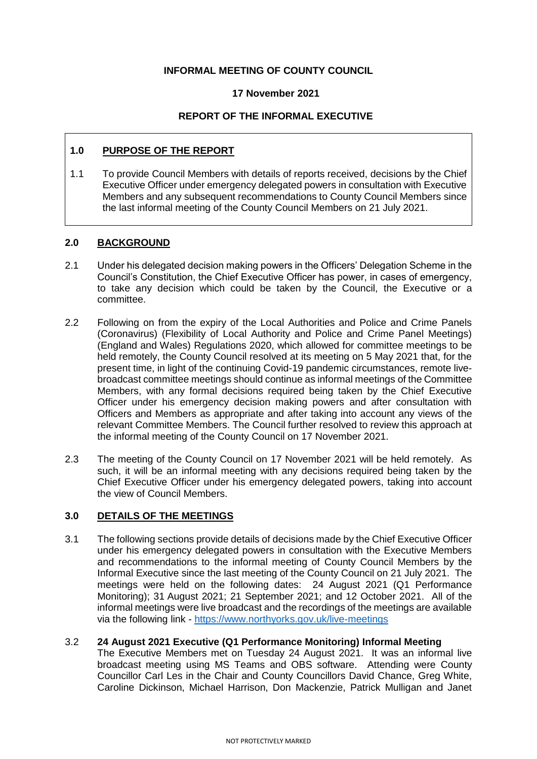## **INFORMAL MEETING OF COUNTY COUNCIL**

### **17 November 2021**

# **REPORT OF THE INFORMAL EXECUTIVE**

## **1.0 PURPOSE OF THE REPORT**

1.1 To provide Council Members with details of reports received, decisions by the Chief Executive Officer under emergency delegated powers in consultation with Executive Members and any subsequent recommendations to County Council Members since the last informal meeting of the County Council Members on 21 July 2021.

### **2.0 BACKGROUND**

- 2.1 Under his delegated decision making powers in the Officers' Delegation Scheme in the Council's Constitution, the Chief Executive Officer has power, in cases of emergency, to take any decision which could be taken by the Council, the Executive or a committee.
- 2.2 Following on from the expiry of the Local Authorities and Police and Crime Panels (Coronavirus) (Flexibility of Local Authority and Police and Crime Panel Meetings) (England and Wales) Regulations 2020, which allowed for committee meetings to be held remotely, the County Council resolved at its meeting on 5 May 2021 that, for the present time, in light of the continuing Covid-19 pandemic circumstances, remote livebroadcast committee meetings should continue as informal meetings of the Committee Members, with any formal decisions required being taken by the Chief Executive Officer under his emergency decision making powers and after consultation with Officers and Members as appropriate and after taking into account any views of the relevant Committee Members. The Council further resolved to review this approach at the informal meeting of the County Council on 17 November 2021.
- 2.3 The meeting of the County Council on 17 November 2021 will be held remotely. As such, it will be an informal meeting with any decisions required being taken by the Chief Executive Officer under his emergency delegated powers, taking into account the view of Council Members.

### **3.0 DETAILS OF THE MEETINGS**

3.1 The following sections provide details of decisions made by the Chief Executive Officer under his emergency delegated powers in consultation with the Executive Members and recommendations to the informal meeting of County Council Members by the Informal Executive since the last meeting of the County Council on 21 July 2021. The meetings were held on the following dates: 24 August 2021 (Q1 Performance Monitoring); 31 August 2021; 21 September 2021; and 12 October 2021. All of the informal meetings were live broadcast and the recordings of the meetings are available via the following link - <https://www.northyorks.gov.uk/live-meetings>

#### 3.2 **24 August 2021 Executive (Q1 Performance Monitoring) Informal Meeting** The Executive Members met on Tuesday 24 August 2021. It was an informal live broadcast meeting using MS Teams and OBS software. Attending were County Councillor Carl Les in the Chair and County Councillors David Chance, Greg White, Caroline Dickinson, Michael Harrison, Don Mackenzie, Patrick Mulligan and Janet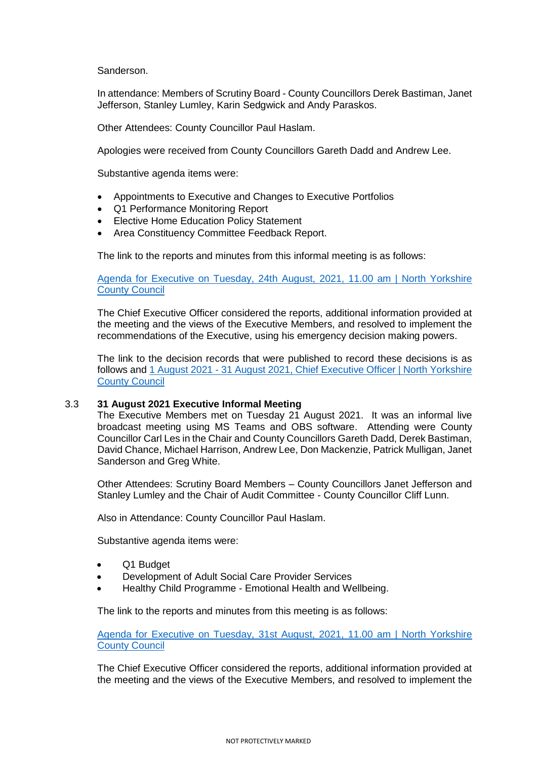Sanderson.

In attendance: Members of Scrutiny Board - County Councillors Derek Bastiman, Janet Jefferson, Stanley Lumley, Karin Sedgwick and Andy Paraskos.

Other Attendees: County Councillor Paul Haslam.

Apologies were received from County Councillors Gareth Dadd and Andrew Lee.

Substantive agenda items were:

- Appointments to Executive and Changes to Executive Portfolios
- Q1 Performance Monitoring Report
- Elective Home Education Policy Statement
- Area Constituency Committee Feedback Report.

The link to the reports and minutes from this informal meeting is as follows:

Agenda for Executive on Tuesday, 24th [August, 2021, 11.00 am | North Yorkshire](http://pa-mgov/ieListDocuments.aspx?CId=1147&MId=4493&Ver=4)  [County Council](http://pa-mgov/ieListDocuments.aspx?CId=1147&MId=4493&Ver=4)

The Chief Executive Officer considered the reports, additional information provided at the meeting and the views of the Executive Members, and resolved to implement the recommendations of the Executive, using his emergency decision making powers.

The link to the decision records that were published to record these decisions is as follows and 1 August 2021 - [31 August 2021, Chief Executive Officer | North Yorkshire](http://pa-mgov/mgDelegatedDecisions.aspx?XXR=0&&DR=01%2f08%2f2021-31%2f08%2f2021&ACT=Find&RP=0&K=0&V=0&DM=1166O&HD=0&DS=2&Next=true&NOW=300921115225&META=mgdelegateddecisions)  [County Council](http://pa-mgov/mgDelegatedDecisions.aspx?XXR=0&&DR=01%2f08%2f2021-31%2f08%2f2021&ACT=Find&RP=0&K=0&V=0&DM=1166O&HD=0&DS=2&Next=true&NOW=300921115225&META=mgdelegateddecisions)

#### 3.3 **31 August 2021 Executive Informal Meeting**

The Executive Members met on Tuesday 21 August 2021. It was an informal live broadcast meeting using MS Teams and OBS software. Attending were County Councillor Carl Les in the Chair and County Councillors Gareth Dadd, Derek Bastiman, David Chance, Michael Harrison, Andrew Lee, Don Mackenzie, Patrick Mulligan, Janet Sanderson and Greg White.

Other Attendees: Scrutiny Board Members – County Councillors Janet Jefferson and Stanley Lumley and the Chair of Audit Committee - County Councillor Cliff Lunn.

Also in Attendance: County Councillor Paul Haslam.

Substantive agenda items were:

- Q1 Budget
- Development of Adult Social Care Provider Services
- Healthy Child Programme Emotional Health and Wellbeing.

The link to the reports and minutes from this meeting is as follows:

[Agenda for Executive on Tuesday, 31st August, 2021, 11.00 am | North Yorkshire](http://pa-mgov/ieListDocuments.aspx?CId=1147&MId=4491&Ver=4)  [County Council](http://pa-mgov/ieListDocuments.aspx?CId=1147&MId=4491&Ver=4)

The Chief Executive Officer considered the reports, additional information provided at the meeting and the views of the Executive Members, and resolved to implement the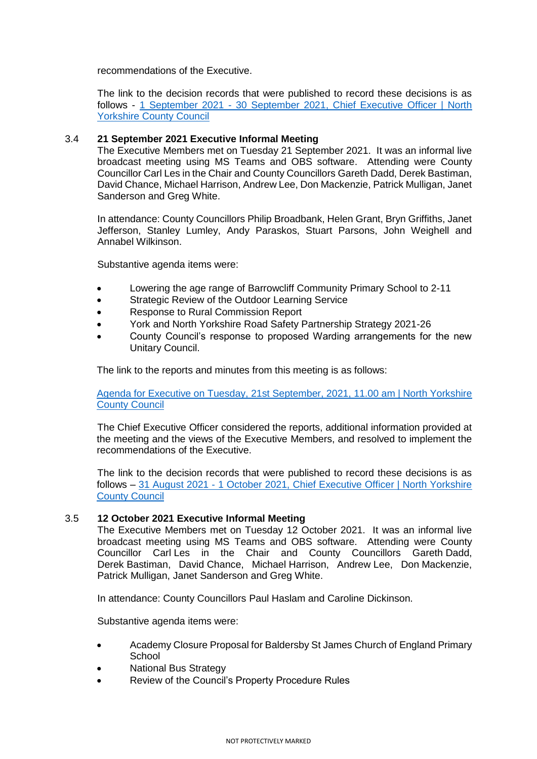recommendations of the Executive.

The link to the decision records that were published to record these decisions is as follows - 1 September 2021 - [30 September 2021, Chief Executive Officer | North](http://pa-mgov/mgDelegatedDecisions.aspx?&RP=0&K=0&V=0&DM=1166O&HD=0&DS=2&Next=true&META=mgdelegateddecisions&DR=01%2f09%2f2021-30%2f09%2f2021)  [Yorkshire County Council](http://pa-mgov/mgDelegatedDecisions.aspx?&RP=0&K=0&V=0&DM=1166O&HD=0&DS=2&Next=true&META=mgdelegateddecisions&DR=01%2f09%2f2021-30%2f09%2f2021)

#### 3.4 **21 September 2021 Executive Informal Meeting**

The Executive Members met on Tuesday 21 September 2021. It was an informal live broadcast meeting using MS Teams and OBS software. Attending were County Councillor Carl Les in the Chair and County Councillors Gareth Dadd, Derek Bastiman, David Chance, Michael Harrison, Andrew Lee, Don Mackenzie, Patrick Mulligan, Janet Sanderson and Greg White.

In attendance: County Councillors Philip Broadbank, Helen Grant, Bryn Griffiths, Janet Jefferson, Stanley Lumley, Andy Paraskos, Stuart Parsons, John Weighell and Annabel Wilkinson.

Substantive agenda items were:

- Lowering the age range of Barrowcliff Community Primary School to 2-11
- Strategic Review of the Outdoor Learning Service
- Response to Rural Commission Report
- York and North Yorkshire Road Safety Partnership Strategy 2021-26
- County Council's response to proposed Warding arrangements for the new Unitary Council.

The link to the reports and minutes from this meeting is as follows:

[Agenda for Executive on Tuesday, 21st September, 2021, 11.00 am | North Yorkshire](http://pa-mgov/ieListDocuments.aspx?CId=1147&MId=4494&Ver=4)  [County Council](http://pa-mgov/ieListDocuments.aspx?CId=1147&MId=4494&Ver=4)

The Chief Executive Officer considered the reports, additional information provided at the meeting and the views of the Executive Members, and resolved to implement the recommendations of the Executive.

The link to the decision records that were published to record these decisions is as follows – 31 August 2021 - [1 October 2021, Chief Executive Officer | North Yorkshire](http://pa-mgov/mgDelegatedDecisions.aspx?XXR=0&&DR=31%2f08%2f2021-01%2f10%2f2021&ACT=Find&RP=0&K=0&V=0&DM=1166O&HD=0&DS=2&Next=true&NOW=300921094054&META=mgdelegateddecisions)  [County Council](http://pa-mgov/mgDelegatedDecisions.aspx?XXR=0&&DR=31%2f08%2f2021-01%2f10%2f2021&ACT=Find&RP=0&K=0&V=0&DM=1166O&HD=0&DS=2&Next=true&NOW=300921094054&META=mgdelegateddecisions)

#### 3.5 **12 October 2021 Executive Informal Meeting**

The Executive Members met on Tuesday 12 October 2021. It was an informal live broadcast meeting using MS Teams and OBS software. Attending were County Councillor Carl Les in the Chair and County Councillors Gareth Dadd, Derek Bastiman, David Chance, Michael Harrison, Andrew Lee, Don Mackenzie, Patrick Mulligan, Janet Sanderson and Greg White.

In attendance: County Councillors Paul Haslam and Caroline Dickinson.

Substantive agenda items were:

- Academy Closure Proposal for Baldersby St James Church of England Primary **School**
- National Bus Strategy
- Review of the Council's Property Procedure Rules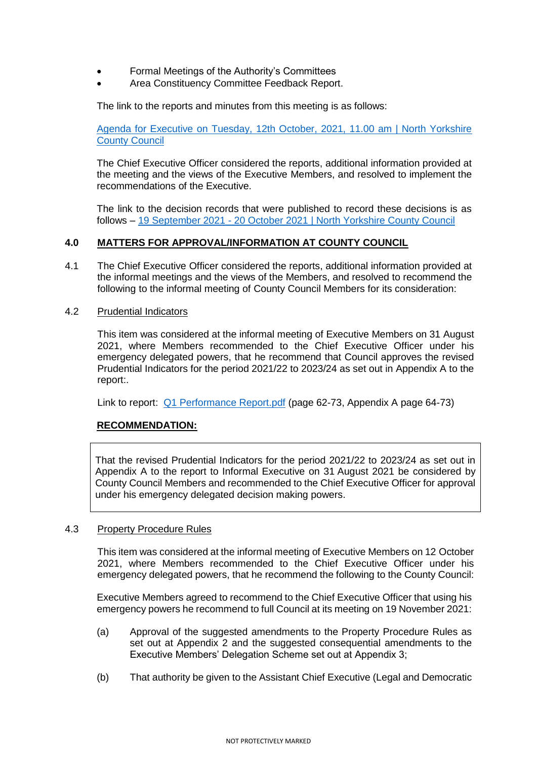- Formal Meetings of the Authority's Committees
- Area Constituency Committee Feedback Report.

The link to the reports and minutes from this meeting is as follows:

[Agenda for Executive on Tuesday, 12th October, 2021, 11.00 am | North Yorkshire](http://pa-mgov/ieListDocuments.aspx?CId=1147&MId=4495&Ver=4)  [County Council](http://pa-mgov/ieListDocuments.aspx?CId=1147&MId=4495&Ver=4)

The Chief Executive Officer considered the reports, additional information provided at the meeting and the views of the Executive Members, and resolved to implement the recommendations of the Executive.

The link to the decision records that were published to record these decisions is as follows – 19 September 2021 - [20 October 2021 | North Yorkshire County Council](http://pa-mgov/mgDelegatedDecisions.aspx?bcr=1&DM=0&DS=2&K=0&DR=&V=0)

### **4.0 MATTERS FOR APPROVAL/INFORMATION AT COUNTY COUNCIL**

4.1 The Chief Executive Officer considered the reports, additional information provided at the informal meetings and the views of the Members, and resolved to recommend the following to the informal meeting of County Council Members for its consideration:

### 4.2 Prudential Indicators

This item was considered at the informal meeting of Executive Members on 31 August 2021, where Members recommended to the Chief Executive Officer under his emergency delegated powers, that he recommend that Council approves the revised Prudential Indicators for the period 2021/22 to 2023/24 as set out in Appendix A to the report:.

Link to report: [Q1 Performance Report.pdf](http://pa-mgov/documents/s7114/Q1%20Performance%20Report.pdf) (page 62-73, Appendix A page 64-73)

### **RECOMMENDATION:**

That the revised Prudential Indicators for the period 2021/22 to 2023/24 as set out in Appendix A to the report to Informal Executive on 31 August 2021 be considered by County Council Members and recommended to the Chief Executive Officer for approval under his emergency delegated decision making powers.

#### 4.3 Property Procedure Rules

This item was considered at the informal meeting of Executive Members on 12 October 2021, where Members recommended to the Chief Executive Officer under his emergency delegated powers, that he recommend the following to the County Council:

Executive Members agreed to recommend to the Chief Executive Officer that using his emergency powers he recommend to full Council at its meeting on 19 November 2021:

- (a) Approval of the suggested amendments to the Property Procedure Rules as set out at Appendix 2 and the suggested consequential amendments to the Executive Members' Delegation Scheme set out at Appendix 3;
- (b) That authority be given to the Assistant Chief Executive (Legal and Democratic